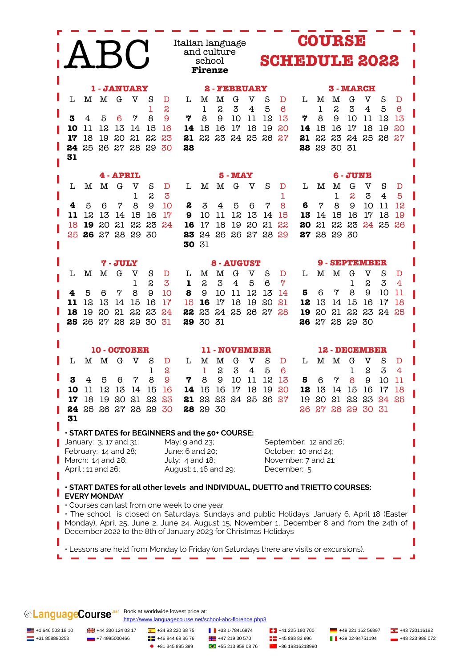| ABC                                                                                                              |                                                                                  |                                                                                                                                                                                                                                                                                               | and culture<br>school<br><b>Firenze</b>                         | Italian language                                                                                |                             |                                   |                                                                   |                                                                | <b>COURSE</b><br><b>SCHEDULE 2022</b>                                                                                                                                                       |
|------------------------------------------------------------------------------------------------------------------|----------------------------------------------------------------------------------|-----------------------------------------------------------------------------------------------------------------------------------------------------------------------------------------------------------------------------------------------------------------------------------------------|-----------------------------------------------------------------|-------------------------------------------------------------------------------------------------|-----------------------------|-----------------------------------|-------------------------------------------------------------------|----------------------------------------------------------------|---------------------------------------------------------------------------------------------------------------------------------------------------------------------------------------------|
| м<br>М<br>Τ,<br>3<br>5<br>4<br>12<br>10<br>11<br>18<br>19<br>17<br>24<br>25<br>31                                | 1 - JANUARY<br>G<br>v<br>6<br>7<br>13<br>14<br>20<br>21<br>26 27                 | S<br>D<br>S<br>ı<br>8<br>9<br>15<br>16<br>22<br>23<br>28 29<br>30                                                                                                                                                                                                                             | L<br>м<br>1<br>7<br>8<br>15<br>14<br>22<br>21<br>28             | 2 - FEBRUARY<br>G<br>м<br>S<br>3<br>9<br>10<br>17<br>16<br>23                                   | v<br>4<br>11<br>18<br>24 25 | S<br>5<br>12<br>19<br>26 27       | D<br>L<br>6<br>13<br>7<br>20<br>14<br>21<br>28                    | м<br>м<br>S<br>1<br>8<br>9<br>15<br>16<br>22<br>23<br>29<br>30 | <b>3 - MARCH</b><br>G<br>v<br>S<br>D<br>3<br>5<br>6<br>4<br>12<br>10<br>11<br>13<br>18<br>17<br>19<br>20<br>24<br>25<br>27<br>26<br>-31                                                     |
| Τ.<br>М<br>м<br>5<br>6<br>4<br>12<br>11<br>13<br>20<br>19<br>18<br>26<br>25                                      | 4 - APRIL<br>$\mathbf G$<br>v<br>1<br>7<br>8<br>14<br>15<br>21<br>22<br>27 28 29 | S<br>D<br>S<br>3<br>9<br>10<br>17<br>16<br>23<br>24<br>30                                                                                                                                                                                                                                     | L<br>м<br>3<br>2<br>10<br>9<br>16<br>17<br>24<br>23<br>30<br>31 | <b>5 - MAY</b><br>G<br>м<br>5<br>4<br>12<br>11<br>18<br>19<br>25                                | v<br>6<br>13<br>20          | S<br>7<br>14<br>21<br>26 27 28 29 | L<br>D<br>1<br>8<br>6<br>15<br>13<br>22<br>80<br>27               | м<br>м<br>1<br>7<br>8<br>14<br>15<br>21<br>22<br>28<br>29      | 6 - JUNE<br>G<br>v<br>S<br>D<br>S<br>3<br>4<br>5<br>9<br>10<br>11<br>12<br>16<br>17<br>18<br>19<br>23<br>24<br>25<br>26<br>30                                                               |
| М<br>м<br>L<br>4<br>5<br>6<br>12<br>13<br>11<br>18<br>19<br>20<br>27<br>26<br>25                                 | 7-JULY<br>G<br>v<br>1<br>7<br>8<br>14<br>15<br>21<br>22<br>28<br>29              | S<br>D<br>S<br>3<br>9<br>10<br>17<br>16<br>23<br>24<br>30<br>31                                                                                                                                                                                                                               | м<br>L<br>S<br>1<br>9<br>8<br>16<br>15<br>23<br>22<br>30<br>29  | 8 - AUGUST<br>$\mathbf G$<br>М<br>3<br>$\overline{4}$<br>10<br>11<br>17<br>18<br>24<br>25<br>31 | v<br>5<br>12<br>19<br>26    | S<br>6<br>13<br>20<br>27          | D<br>L<br>$\overline{7}$<br>5<br>14<br>21<br>12<br>19<br>28<br>26 | М<br>М<br>7<br>6<br>13<br>14<br>20<br>21<br>27<br>28           | <b>9 - SEPTEMBER</b><br>$\rm{v}$<br>G<br>S<br>D<br>S<br>3<br>1<br>$\overline{4}$<br>8<br>9<br>10<br>11<br>16<br>17<br>15<br>18<br>22<br>23<br>25<br>24<br>29<br>30                          |
| м<br>М<br>L<br>3<br>4<br>5<br>10 11 12 13 14 15 16<br>17<br>24 25 26 27 28 29 30<br>31<br>January: 3, 17 and 31; | 10 - OCTOBER<br>G<br>v<br>7<br>6                                                 | S<br>D<br>S<br>ı<br>8<br>9<br>18 19 20 21 22 23 21 22 23 24 25 26 27<br>. START DATES for BEGINNERS and the 50+ COURSE:                                                                                                                                                                       | 11<br>М<br>L<br>1<br>7<br>8<br>28 29 30<br>May: $9$ and $23$ ;  | - NOVEMBER<br>G<br>м<br>S<br>3<br>9<br>10<br>14 15 16 17 18 19 20                               | v<br>4<br>11                | S<br>5<br>12                      | D<br>L<br>6<br>13<br>5.<br>September: 12 and 26;                  | М<br>M<br>7<br>6                                               | 12 - DECEMBER<br>S<br>G<br>v<br>D<br>3<br>S<br>1<br>4<br>8<br>9<br>10<br>11<br>18<br>12 13 14 15 16 17<br>19 20 21 22 23 24 25<br>26 27 28 29 30 31                                         |
| February: 14 and 28;<br>March: 14 and 28;<br>April: 11 and 26;<br><b>EVERY MONDAY</b>                            |                                                                                  | · START DATES for all other levels and INDIVIDUAL, DUETTO and TRIETTO COURSES:<br>. Courses can last from one week to one year.<br>December 2022 to the 8th of January 2023 for Christmas Holidays<br>· Lessons are held from Monday to Friday (on Saturdays there are visits or excursions). | June: 6 and 20;<br>July: 4 and 18;<br>August: 1, 16 and 29;     |                                                                                                 |                             |                                   | October: 10 and 24;<br>November: 7 and 21;<br>December: 5         |                                                                | · The school is closed on Saturdays, Sundays and public Holidays: January 6, April 18 (Easter<br>Monday), April 25, June 2, June 24, August 15, November 1, December 8 and from the 24th of |

Book at worldwide lowest price at:

<https://www.languagecourse.net/school-abc-florence.php3>

+1 646 503 18 10 +44 330 124 03 17 +34 93 220 38 75 +33 1-78416974 +41 225 180 700 +49 221 162 56897 +43 720116182 +31 858880253 +7 4995000466 +46 844 68 36 76 +47 219 30 570 +45 898 83 996 +39 02-94751194 +48 223 988 072

+81 345 895 399 **•** +55 213 958 08 76 **• 168 19816218990**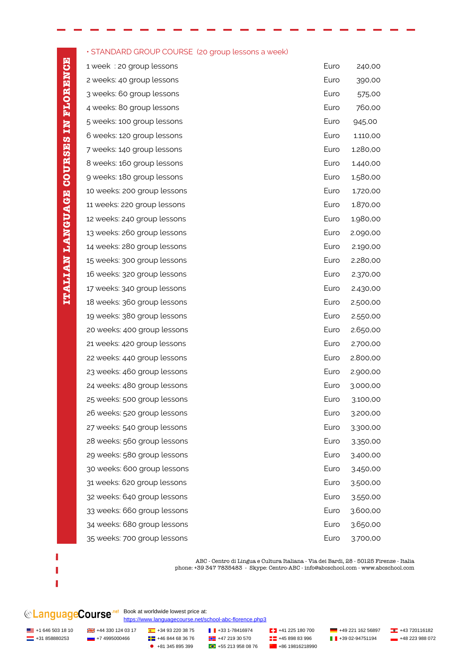#### • STANDARD GROUP COURSE (20 group lessons a week)

1 week : 20 group lessons 2 weeks: 40 group lessons 3 weeks: 60 group lessons 4 weeks: 80 group lessons 5 weeks: 100 group lessons 6 weeks: 120 group lessons 7 weeks: 140 group lessons 8 weeks: 160 group lessons 9 weeks: 180 group lessons 10 weeks: 200 group lessons 11 weeks: 220 group lessons 12 weeks: 240 group lessons 13 weeks: 260 group lessons 14 weeks: 280 group lessons 15 weeks: 300 group lessons 16 weeks: 320 group lessons 17 weeks: 340 group lessons 18 weeks: 360 group lessons 19 weeks: 380 group lessons 20 weeks: 400 group lessons 21 weeks: 420 group lessons 22 weeks: 440 group lessons 23 weeks: 460 group lessons 24 weeks: 480 group lessons 25 weeks: 500 group lessons 26 weeks: 520 group lessons 27 weeks: 540 group lessons 28 weeks: 560 group lessons 29 weeks: 580 group lessons 30 weeks: 600 group lessons 31 weeks: 620 group lessons 32 weeks: 640 group lessons 33 weeks: 660 group lessons 34 weeks: 680 group lessons 35 weeks: 700 group lessons extending the state of the Euro 3.700,000 and 3.700,000 and 3.700,000 and 3.700,000 and 3.700,000 and 3.700,000 and 3.700,000 and 3.700,000 and 3.700,000 and 3.700,000 and 3.700,000 and 3.700,00

| Euro | 240,00   |
|------|----------|
| Euro | 390,00   |
| Euro | 575,00   |
| Euro | 760,00   |
| Euro | 945,00   |
| Euro | 1.110,00 |
| Euro | 1.280,00 |
| Euro | 1.440,00 |
| Euro | 1.580,00 |
| Euro | 1.720,00 |
| Euro | 1.870,00 |
| Euro | 1.980,00 |
| Euro | 2.090,00 |
| Euro | 2.190,00 |
| Euro | 2.280,00 |
| Euro | 2.370,00 |
| Euro | 2.430,00 |
| Euro | 2.500,00 |
| Euro | 2.550,00 |
| Euro | 2.650,00 |
| Euro | 2.700,00 |
| Euro | 2.800,00 |
| Euro | 2.900,00 |
| Euro | 3.000,00 |
| Euro | 3.100,00 |
| Euro | 3.200,00 |
| Euro | 3.300,00 |
| Euro | 3.350,00 |
| Euro | 3.400,00 |
| Euro | 3.450,00 |
| Euro | 3.500,00 |
| Euro | 3.550,00 |
| Euro | 3.600,00 |
| Euro | 3.650,00 |
| Furo | 3700.00  |

ABC - Centro di Lingua e Cultura Italiana - Via dei Bardi, 28 - 50125 Firenze - Italia phone: +39 347 7835483 - Skype: Centro-ABC - info@abcschool.com - www.abcschool.com

## **CanguageCourse** Book at worldwide lowest price at:

#### <https://www.languagecourse.net/school-abc-florence.php3>

<u><del></del></u> +31 858880253 +7 4995000466 + +46 844 68 36 76 + +47 219 30 570 + 45 898 83 996 + +39 02-94751194 +48 223 988 072

+81 345 895 399 +55 213 958 08 76 +86 19816218990

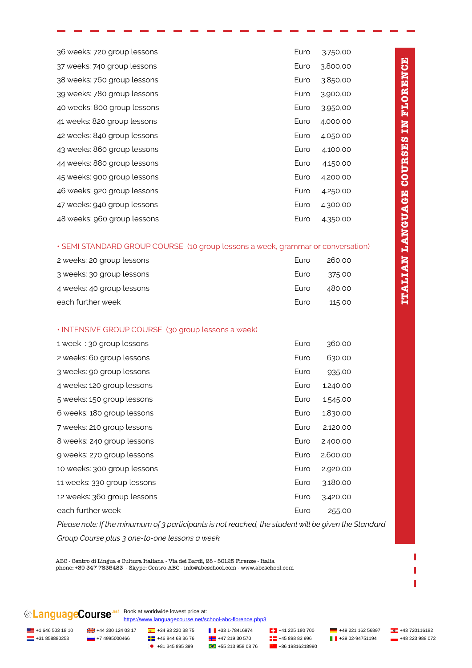| 36 weeks: 720 group lessons                                                     | Euro | 3.750,00 |                         |
|---------------------------------------------------------------------------------|------|----------|-------------------------|
| 37 weeks: 740 group lessons                                                     | Euro | 3.800,00 |                         |
| 38 weeks: 760 group lessons                                                     | Euro | 3.850,00 |                         |
| 39 weeks: 780 group lessons                                                     | Euro | 3.900,00 |                         |
| 40 weeks: 800 group lessons                                                     | Euro | 3.950,00 | <b>FLORENCE</b>         |
| 41 weeks: 820 group lessons                                                     | Euro | 4.000,00 | NI                      |
| 42 weeks: 840 group lessons                                                     | Euro | 4.050,00 |                         |
| 43 weeks: 860 group lessons                                                     | Euro | 4.100,00 | <b>COURSES</b>          |
| 44 weeks: 880 group lessons                                                     | Euro | 4.150,00 |                         |
| 45 weeks: 900 group lessons                                                     | Euro | 4.200,00 |                         |
| 46 weeks: 920 group lessons                                                     | Euro | 4.250,00 |                         |
| 47 weeks: 940 group lessons                                                     | Euro | 4.300,00 |                         |
| 48 weeks: 960 group lessons                                                     | Euro | 4.350,00 |                         |
|                                                                                 |      |          | <b>ITALIAN LANGUAGE</b> |
| · SEMI STANDARD GROUP COURSE (10 group lessons a week, grammar or conversation) |      |          |                         |
| 2 weeks: 20 group lessons                                                       | Euro | 260,00   |                         |
| 3 weeks: 30 group lessons                                                       | Euro | 375,00   |                         |
| 4 weeks: 40 group lessons                                                       | Euro | 480,00   |                         |
| each further week                                                               | Euro | 115,00   |                         |
|                                                                                 |      |          |                         |
| · INTENSIVE GROUP COURSE (30 group lessons a week)                              |      |          |                         |
| 1 week : 30 group lessons                                                       | Euro | 360,00   |                         |
| 2 weeks: 60 group lessons                                                       | Euro | 630,00   |                         |

| 2 weeks: 60 group lessons                                                                          | Euro | 630,00   |  |
|----------------------------------------------------------------------------------------------------|------|----------|--|
| 3 weeks: 90 group lessons                                                                          | Euro | 935,00   |  |
| 4 weeks: 120 group lessons                                                                         | Euro | 1.240,00 |  |
| 5 weeks: 150 group lessons                                                                         | Euro | 1.545,00 |  |
| 6 weeks: 180 group lessons                                                                         | Euro | 1.830,00 |  |
| 7 weeks: 210 group lessons                                                                         | Euro | 2.120,00 |  |
| 8 weeks: 240 group lessons                                                                         | Euro | 2.400,00 |  |
| g weeks: 270 group lessons                                                                         | Euro | 2.600,00 |  |
| 10 weeks: 300 group lessons                                                                        | Euro | 2.920,00 |  |
| 11 weeks: 330 group lessons                                                                        | Euro | 3.180,00 |  |
| 12 weeks: 360 group lessons                                                                        | Euro | 3.420,00 |  |
| each further week                                                                                  | Euro | 255,00   |  |
| Dhama wata 1646 a wake wa wa afo wawtisha wata ia watu wanda ali tha atu dantuwilla a shuga tha Ci |      |          |  |

*Please note: If the minumum of 3 participants is not reached, the student will be given the Standard Group Course plus 3 one-to-one lessons a week.*

ABC - Centro di Lingua e Cultura Italiana - Via dei Bardi, 28 - 50125 Firenze - Italia phone: +39 347 7835483 - Skype: Centro-ABC - info@abcschool.com - www.abcschool.com

**CLanguageCourse**<sup>net</sup> Book at worldwide lowest price at:

<https://www.languagecourse.net/school-abc-florence.php3>

<u>■</u> +1 646 503 18 10 ● <sub>第</sub> +44 330 124 03 17 • <sub>1</sub> +34 93 220 38 75 **+45** +33 1-78416974 **+45** +41 225 180 700 **+49 221 162 56897 +43 720116182** +31 858880253 +7 4995000466 +46 844 68 36 76 +47 219 30 570 +45 898 83 996 +39 02-94751194 +48 223 988 072

+81 345 895 399 **•** +55 213 958 08 76 **• 168 19816218990**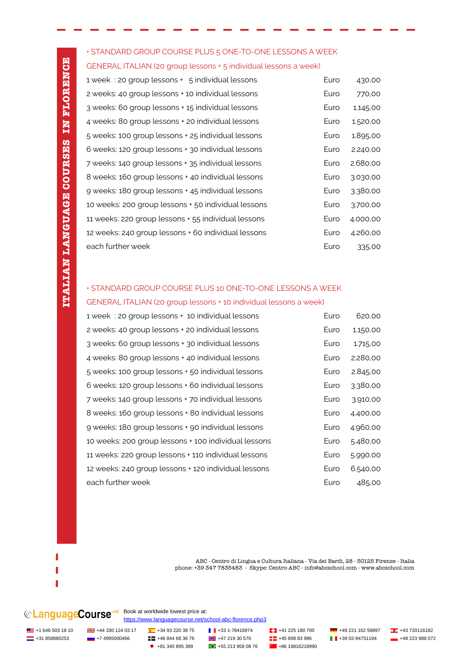## • STANDARD GROUP COURSE PLUS 5 ONE-TO-ONE LESSONS A WEEK

#### GENERAL ITALIAN (20 group lessons + 5 individual lessons a week)

| 1 week : 20 group lessons + 5 individual lessons    | Euro | 430,00   |
|-----------------------------------------------------|------|----------|
| 2 weeks: 40 group lessons + 10 individual lessons   | Euro | 770,00   |
| 3 weeks: 60 group lessons + 15 individual lessons   | Euro | 1.145,00 |
| 4 weeks: 80 group lessons + 20 individual lessons   | Euro | 1.520,00 |
| 5 weeks: 100 group lessons + 25 individual lessons  | Euro | 1.895,00 |
| 6 weeks: 120 group lessons + 30 individual lessons  | Euro | 2.240,00 |
| 7 weeks: 140 group lessons + 35 individual lessons  | Euro | 2.680,00 |
| 8 weeks: 160 group lessons + 40 individual lessons  | Euro | 3.030,00 |
| 9 weeks: 180 group lessons + 45 individual lessons  | Euro | 3.380,00 |
| 10 weeks: 200 group lessons + 50 individual lessons | Euro | 3.700,00 |
| 11 weeks: 220 group lessons + 55 individual lessons | Euro | 4.000,00 |
| 12 weeks: 240 group lessons + 60 individual lessons | Euro | 4.260,00 |
| each further week                                   | Euro | 335,00   |

## • STANDARD GROUP COURSE PLUS 10 ONE-TO-ONE LESSONS A WEEK GENERAL ITALIAN (20 group lessons + 10 individual lessons a week)

| 1 week : 20 group lessons + 10 individual lessons    | Euro | 620,00   |
|------------------------------------------------------|------|----------|
| 2 weeks: 40 group lessons + 20 individual lessons    | Euro | 1.150,00 |
| 3 weeks: 60 group lessons + 30 individual lessons    | Euro | 1.715,00 |
| 4 weeks: 80 group lessons + 40 individual lessons    | Euro | 2.280,00 |
| 5 weeks: 100 group lessons + 50 individual lessons   | Euro | 2.845,00 |
| 6 weeks: 120 group lessons + 60 individual lessons   | Euro | 3.380,00 |
| 7 weeks: 140 group lessons + 70 individual lessons   | Euro | 3.910,00 |
| 8 weeks: 160 group lessons + 80 individual lessons   | Euro | 4.400,00 |
| 9 weeks: 180 group lessons + 90 individual lessons   | Euro | 4.960,00 |
| 10 weeks: 200 group lessons + 100 individual lessons | Euro | 5.480,00 |
| 11 weeks: 220 group lessons + 110 individual lessons | Euro | 5.990,00 |
| 12 weeks: 240 group lessons + 120 individual lessons | Euro | 6.540,00 |
| each further week                                    | Euro | 485,00   |

ABC - Centro di Lingua e Cultura Italiana - Via dei Bardi, 28 - 50125 Firenze - Italia phone: +39 347 7835483 - Skype: Centro-ABC - info@abcschool.com - www.abcschool.com

# **CAnguageCourse**<sup>net</sup> Book at worldwide lowest price at:

#### <https://www.languagecourse.net/school-abc-florence.php3>

T

<u><del></del></u> +31 858880253 +7 4995000466 + +46 844 68 36 76 + +47 219 30 570 + 45 898 83 996 + +39 02-94751194 +48 223 988 072

 $\bullet$  +81 345 895 399  $\bullet$  +55 213 958 08 76  $\bullet$  +86 19816218990

+1 646 503 18 10 +44 330 124 03 17 +34 93 220 38 75 +33 1-78416974 +41 225 180 700 +49 221 162 56897 +43 720116182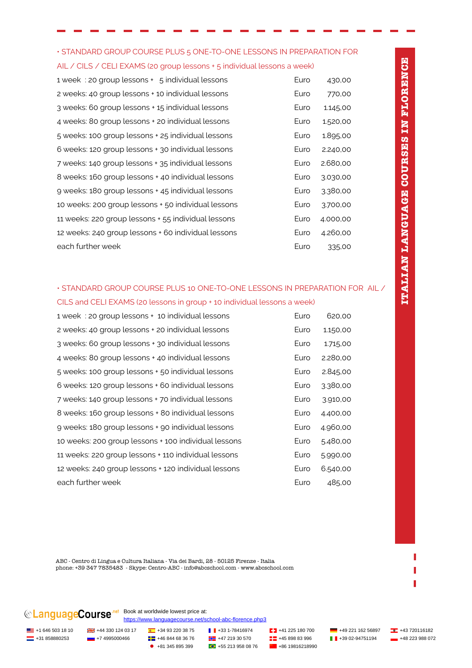## • STANDARD GROUP COURSE PLUS 5 ONE-TO-ONE LESSONS IN PREPARATION FOR AIL / CILS / CELI EXAMS (20 group lessons + 5 individual lessons a week)

1 week : 20 group lessons + 5 individual lessons Euro 430,00 2 weeks: 40 group lessons + 10 individual lessons Euro 770,00 3 weeks: 60 group lessons + 15 individual lessons Euro 1.145,00 4 weeks: 80 group lessons + 20 individual lessons Euro 1.520,00 5 weeks: 100 group lessons + 25 individual lessons Euro 1.895,00 6 weeks: 120 group lessons + 30 individual lessons Euro 2.240,00 7 weeks: 140 group lessons + 35 individual lessons Euro 2.680,00 8 weeks: 160 group lessons + 40 individual lessons Euro 3.030,00 9 weeks: 180 group lessons + 45 individual lessons Euro 3.380,00 10 weeks: 200 group lessons + 50 individual lessons Euro 3.700,00 11 weeks: 220 group lessons + 55 individual lessons Euro 4.000,00 12 weeks: 240 group lessons + 60 individual lessons Euro 4.260,00 each further week each further week expansion of the state of the state of the state of the state of the state of the state of the state of the state of the state of the state of the state of the state of the state of the

## • STANDARD GROUP COURSE PLUS 10 ONE-TO-ONE LESSONS IN PREPARATION FOR AIL / CILS and CELI EXAMS (20 lessons in group + 10 individual lessons a week)

| 1 week : 20 group lessons + 10 individual lessons    | Euro | 620,00   |
|------------------------------------------------------|------|----------|
| 2 weeks: 40 group lessons + 20 individual lessons    | Euro | 1.150,00 |
| 3 weeks: 60 group lessons + 30 individual lessons    | Euro | 1.715,00 |
| 4 weeks: 80 group lessons + 40 individual lessons    | Euro | 2.280,00 |
| 5 weeks: 100 group lessons + 50 individual lessons   | Euro | 2.845,00 |
| 6 weeks: 120 group lessons + 60 individual lessons   | Euro | 3.380,00 |
| 7 weeks: 140 group lessons + 70 individual lessons   | Euro | 3.910,00 |
| 8 weeks: 160 group lessons + 80 individual lessons   | Euro | 4.400,00 |
| 9 weeks: 180 group lessons + 90 individual lessons   | Euro | 4.960,00 |
| 10 weeks: 200 group lessons + 100 individual lessons | Euro | 5.480,00 |
| 11 weeks: 220 group lessons + 110 individual lessons | Euro | 5.990,00 |
| 12 weeks: 240 group lessons + 120 individual lessons | Euro | 6.540,00 |
| each further week                                    | Euro | 485,00   |

ABC - Centro di Lingua e Cultura Italiana - Via dei Bardi, 28 - 50125 Firenze - Italia phone: +39 347 7835483 - Skype: Centro-ABC - info@abcschool.com - www.abcschool.com

#### **CanguageCourse** Rook at worldwide lowest price at: <https://www.languagecourse.net/school-abc-florence.php3>

<u>ES</u> +1 646 503 18 10 <del>D</del> +43 330 124 03 17 **4** +34 93 220 38 75 **+45** +33 1-78416974 **+45 221 182 5180 700 +49 221 162 56897 <b>+43** 720116182

<u>→</u> +31 858880253 +7 4995000466 **+45 246 844 68 36 76** +47 219 30 570 +45 898 83 996 **+48 +48 294751194** +48 223 988 072

+81 345 895 399 +55 213 958 08 76 +86 19816218990

**ITALIAN LANGUAGE COURSES IN FLORENCE ITALIAN LANGUAGE COURSES IN FLORENCE**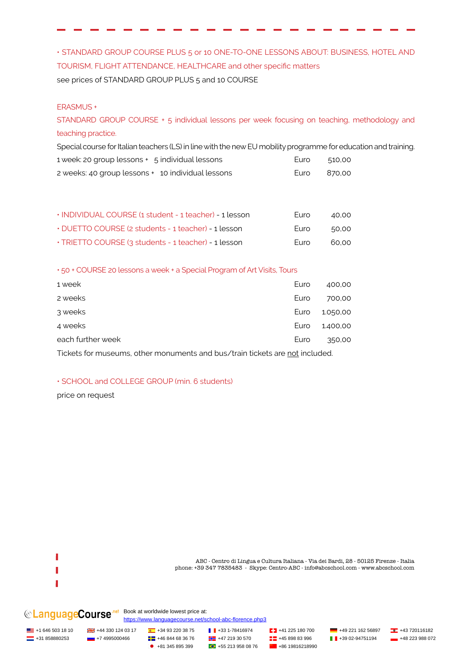## • STANDARD GROUP COURSE PLUS 5 or 10 ONE-TO-ONE LESSONS ABOUT: BUSINESS, HOTEL AND TOURISM, FLIGHT ATTENDANCE, HEALTHCARE and other specific matters see prices of STANDARD GROUP PLUS 5 and 10 COURSE

#### ERASMUS +

STANDARD GROUP COURSE + 5 individual lessons per week focusing on teaching, methodology and teaching practice.

Special course for Italian teachers (LS) in line with the new EU mobility programme for education and training. 1 week: 20 group lessons + 5 individual lessons Euro 510,00 2 weeks: 40 group lessons + 10 individual lessons Euro 870,00

| • INDIVIDUAL COURSE (1 student - 1 teacher) - 1 lesson | Furo | 40.00 |
|--------------------------------------------------------|------|-------|
| • DUETTO COURSE (2 students - 1 teacher) - 1 lesson    | Euro | 50.00 |
| • TRIETTO COURSE (3 students - 1 teacher) - 1 lesson   | Furo | 60.00 |

• 50 + COURSE 20 lessons a week + a Special Program of Art Visits, Tours

| 1 week            | Euro | 400,00   |
|-------------------|------|----------|
| 2 weeks           | Euro | 700,00   |
| 3 weeks           | Euro | 1.050,00 |
| 4 weeks           | Euro | 1.400,00 |
| each further week | Euro | 350,00   |
| .                 |      | .        |

Tickets for museums, other monuments and bus/train tickets are not included.

#### • SCHOOL and COLLEGE GROUP (min. 6 students)

price on request

ABC - Centro di Lingua e Cultura Italiana - Via dei Bardi, 28 - 50125 Firenze - Italia phone: +39 347 7835483 - Skype: Centro-ABC - info@abcschool.com - www.abcschool.com

## **CanguageCourse** Book at worldwide lowest price at:

<https://www.languagecourse.net/school-abc-florence.php3>

 $-$  +31 858880253 +7 4995000466  $-$  +46 844 68 36 76  $+$  +47 219 30 570  $-$  +45 898 83 996  $+$  +39 02-94751194  $-$  +48 223 988 072

 $\bullet$  +81 345 895 399  $\bullet$  +55 213 958 08 76  $\bullet$  +86 19816218990

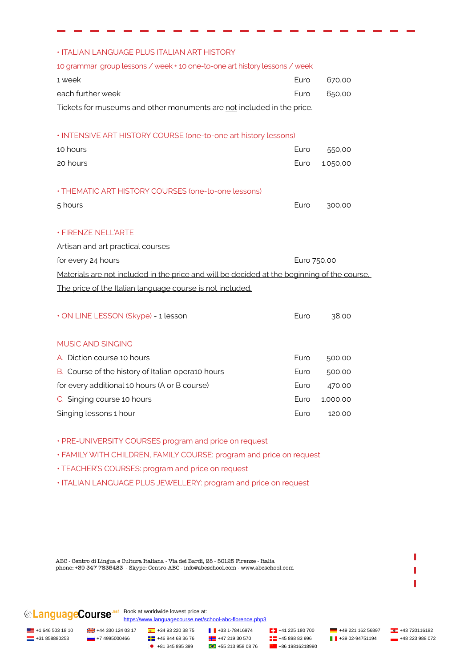| <b>. ITALIAN LANGUAGE PLUS ITALIAN ART HISTORY</b>                                          |             |          |
|---------------------------------------------------------------------------------------------|-------------|----------|
| 10 grammar group lessons / week + 10 one-to-one art history lessons / week                  |             |          |
| 1 week                                                                                      | Euro        | 670,00   |
| each further week                                                                           | Euro        | 650,00   |
| Tickets for museums and other monuments are not included in the price.                      |             |          |
|                                                                                             |             |          |
| . INTENSIVE ART HISTORY COURSE (one-to-one art history lessons)                             |             |          |
| 10 hours                                                                                    | Euro        | 550,00   |
| 20 hours                                                                                    | Euro        | 1.050,00 |
|                                                                                             |             |          |
| • THEMATIC ART HISTORY COURSES (one-to-one lessons)                                         |             |          |
| 5 hours                                                                                     | Euro        | 300,00   |
|                                                                                             |             |          |
| <b>. FIRENZE NELL'ARTE</b>                                                                  |             |          |
| Artisan and art practical courses                                                           |             |          |
| for every 24 hours                                                                          | Euro 750,00 |          |
| Materials are not included in the price and will be decided at the beginning of the course. |             |          |
| The price of the Italian language course is not included.                                   |             |          |
|                                                                                             |             |          |
| · ON LINE LESSON (Skype) - 1 lesson                                                         | Euro        | 38,00    |
|                                                                                             |             |          |
| <b>MUSIC AND SINGING</b>                                                                    |             |          |
| A. Diction course 10 hours                                                                  | Euro        | 500,00   |
|                                                                                             |             |          |

B. Course of the history of Italian opera10 hours **Euro** 500,00 for every additional 10 hours (A or B course) Euro 470,00 C. Singing course 10 hours **Euro** 1.000,00 Singing lessons 1 hour example of the state of the state of the state of the state of the state of the state of the state of the state of the state of the state of the state of the state of the state of the state of the st

• PRE-UNIVERSITY COURSES program and price on request

• FAMILY WITH CHILDREN, FAMILY COURSE: program and price on request

• TEACHER'S COURSES: program and price on request

• ITALIAN LANGUAGE PLUS JEWELLERY: program and price on request

ABC - Centro di Lingua e Cultura Italiana - Via dei Bardi, 28 - 50125 Firenze - Italia phone: +39 347 7835483 - Skype: Centro-ABC - info@abcschool.com - www.abcschool.com

# **CAnguageCourse** Book at worldwide lowest price at:

<https://www.languagecourse.net/school-abc-florence.php3>

+1 646 503 18 10 +44 330 124 03 17 +34 93 220 38 75 +33 1-78416974 +41 225 180 700 +49 221 162 56897 +43 720116182  $-$  +31 858880253 +7 4995000466  $-$  +46 844 68 36 76  $+$  +47 219 30 570  $-$  +45 898 83 996  $+$  +39 02-94751194  $-$  +48 223 988 072

+81 345 895 399 **+65 213 958 08 76** +86 19816218990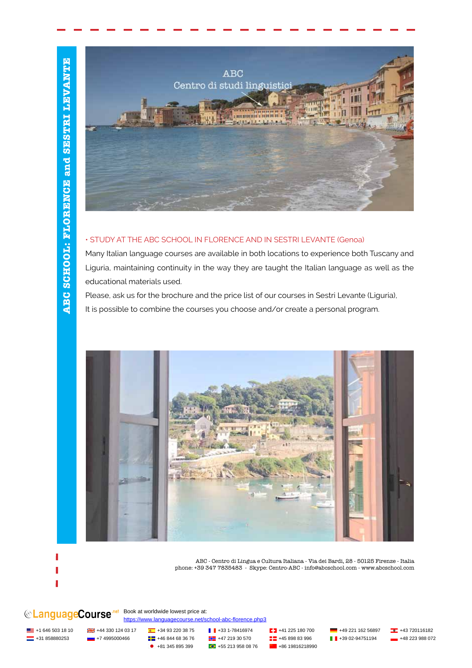

#### • STUDY AT THE ABC SCHOOL IN FLORENCE AND IN SESTRI LEVANTE (Genoa)

Many Italian language courses are available in both locations to experience both Tuscany and Liguria, maintaining continuity in the way they are taught the Italian language as well as the educational materials used.

Please, ask us for the brochure and the price list of our courses in Sestri Levante (Liguria), It is possible to combine the courses you choose and/or create a personal program.



ABC - Centro di Lingua e Cultura Italiana - Via dei Bardi, 28 - 50125 Firenze - Italia phone: +39 347 7835483 - Skype: Centro-ABC - info@abcschool.com - www.abcschool.com

## **CanguageCourse** Book at worldwide lowest price at:

<https://www.languagecourse.net/school-abc-florence.php3>

T

<u>→</u> +31 858880253 +7 4995000466 **+45 246 844 68 36 76** +47 219 30 570 +45 898 83 996 **+47** +39 02-94751194 +48 223 988 072

**•** +81 345 895 399 **•** +55 213 958 08 76 **• +86 19816218990** 

<u>■</u> +1 646 503 18 10 ● <sub>●</sub> +24 330 124 03 17 ● +34 93 220 38 75 **+453 1-78416974 +41 225 180 700 +49 221 162 56897 +43 720116182**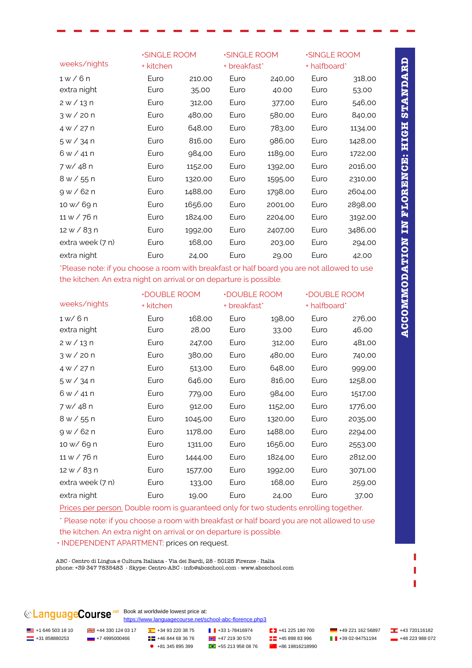|                  | <b>SINGLE ROOM</b> |         | <b>SINGLE ROOM</b> |         | <b>SINGLE ROOM</b> |         |
|------------------|--------------------|---------|--------------------|---------|--------------------|---------|
| weeks/nights     | + kitchen          |         | + breakfast*       |         | + halfboard*       |         |
| $1 \le 6n$       | Euro               | 210,00  | Euro               | 240,00  | Euro               | 318,00  |
| extra night      | Euro               | 35,00   | Euro               | 40.00   | Euro               | 53,00   |
| $2 \times / 13n$ | Euro               | 312,00  | Euro               | 377,00  | Euro               | 546,00  |
| $3 \times 20n$   | Euro               | 480,00  | Euro               | 580,00  | Euro               | 840,00  |
| 4 w / 27 n       | Euro               | 648,00  | Euro               | 783,00  | Euro               | 1134,00 |
| 5 w / 34 n       | Euro               | 816,00  | Euro               | 986,00  | Euro               | 1428,00 |
| 6 w / 41 n       | Euro               | 984,00  | Euro               | 1189,00 | Euro               | 1722,00 |
| 7 w/ 48 n        | Euro               | 1152,00 | Euro               | 1392,00 | Euro               | 2016,00 |
| 8 w / 55 n       | Euro               | 1320,00 | Euro               | 1595,00 | Euro               | 2310,00 |
| 9 w / 62 n       | Euro               | 1488,00 | Euro               | 1798,00 | Euro               | 2604.00 |
| 10 w/ 69 n       | Euro               | 1656,00 | Euro               | 2001,00 | Euro               | 2898,00 |
| 11 w / 76 n      | Euro               | 1824,00 | Euro               | 2204,00 | Euro               | 3192,00 |
| $12 \times 783n$ | Euro               | 1992,00 | Euro               | 2407,00 | Euro               | 3486,00 |
| extra week (7 n) | Euro               | 168,00  | Euro               | 203,00  | Euro               | 294,00  |
| extra night      | Euro               | 24,00   | Euro               | 29,00   | Euro               | 42,00   |

\*Please note: if you choose a room with breakfast or half board you are not allowed to use the kitchen. An extra night on arrival or on departure is possible.

|                  | $\cdot$ DOUBLE ROOM |         | $\cdot$ DOUBLE ROOM |         | <b>.DOUBLE ROOM</b> |         |
|------------------|---------------------|---------|---------------------|---------|---------------------|---------|
| weeks/nights     | + kitchen           |         | + breakfast*        |         | + halfboard*        |         |
| 1 w/6 n          | Euro                | 168,00  | Euro                | 198,00  | Euro                | 276,00  |
| extra night      | Euro                | 28,00   | Euro                | 33,00   | Euro                | 46,00   |
| 2 w / 13 n       | Euro                | 247,00  | Euro                | 312,00  | Euro                | 481,00  |
| $3 \times 20n$   | Euro                | 380,00  | Euro                | 480,00  | Euro                | 740,00  |
| 4 w / 27 n       | Euro                | 513,00  | Euro                | 648,00  | Euro                | 999,00  |
| 5 w / 34 n       | Euro                | 646,00  | Euro                | 816,00  | Euro                | 1258,00 |
| 6 w / 41 n       | Euro                | 779,00  | Euro                | 984,00  | Euro                | 1517,00 |
| 7 w/ 48 n        | Euro                | 912,00  | Euro                | 1152,00 | Euro                | 1776,00 |
| 8 w / 55 n       | Euro                | 1045,00 | Euro                | 1320,00 | Euro                | 2035,00 |
| 9 w / 62 n       | Euro                | 1178,00 | Euro                | 1488,00 | Euro                | 2294,00 |
| 10 w/ 69 n       | Euro                | 1311,00 | Euro                | 1656,00 | Euro                | 2553,00 |
| 11 w / 76 n      | Euro                | 1444,00 | Euro                | 1824,00 | Euro                | 2812,00 |
| 12 w / 83 n      | Euro                | 1577,00 | Euro                | 1992,00 | Euro                | 3071,00 |
| extra week (7 n) | Euro                | 133,00  | Euro                | 168,00  | Euro                | 259,00  |
| extra night      | Euro                | 19,00   | Euro                | 24,00   | Euro                | 37,00   |

Prices per person. Double room is guaranteed only for two students enrolling together.

\* Please note: if you choose a room with breakfast or half board you are not allowed to use

the kitchen. An extra night on arrival or on departure is possible.

• INDEPENDENT APARTMENT: prices on request.

ABC - Centro di Lingua e Cultura Italiana - Via dei Bardi, 28 - 50125 Firenze - Italia phone: +39 347 7835483 - Skype: Centro-ABC - info@abcschool.com - www.abcschool.com

# **CAnguageCourse**<sup>net</sup> Book at worldwide lowest price at:

<https://www.languagecourse.net/school-abc-florence.php3>

<u>■</u> +1 646 503 18 10 + 43 30 124 03 17 + 34 93 220 38 75 + 34 53 220 38 75 + 43 3178416974 +43 225 180 700 +49 221 162 56897 + 43 720116182 <u><del></del></u> +31 858880253 +7 4995000466 + +46 844 68 36 76 + +47 219 30 570 + 45 898 83 996 + +39 02-94751194 +48 223 988 072

 $\bullet$  +81 345 895 399  $\bullet$  +55 213 958 08 76  $\bullet$  +86 19816218990

**ACCOMMODATION IN FLORENCE: HIGH STANDARD ACCOMMODATION IN FLORENCE: HIGH STANDARD**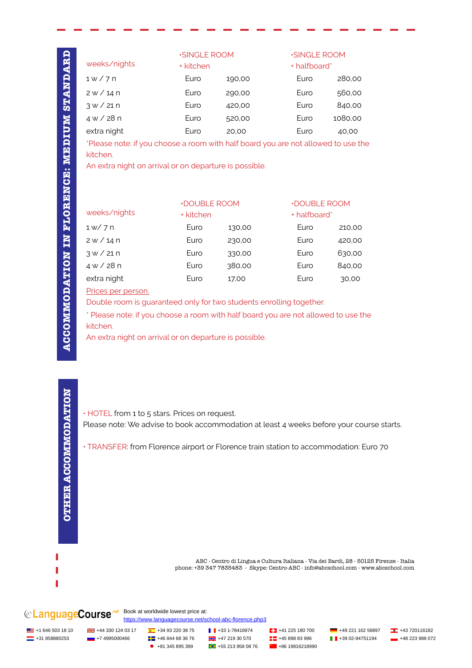|                                                                                 | <b>SINGLE ROOM</b><br>+ kitchen |        | <b>SINGLE ROOM</b><br>+ halfboard* |         |
|---------------------------------------------------------------------------------|---------------------------------|--------|------------------------------------|---------|
| weeks/nights                                                                    |                                 |        |                                    |         |
| 1 w / 7 n                                                                       | Euro                            | 190,00 | Euro                               | 280,00  |
| 2 w / 14 n                                                                      | Euro                            | 290,00 | Euro                               | 560,00  |
| 3 w / 21 n                                                                      | Euro                            | 420,00 | Euro                               | 840,00  |
| 4 w / 28 n                                                                      | Euro                            | 520,00 | Euro                               | 1080,00 |
| extra night                                                                     | Euro                            | 20.00  | Euro                               | 40,00   |
| *Ploase note: if you choose a room with half board you are not allowed to use t |                                 |        |                                    |         |

\*Please note: if you choose a room with half board you are not allowed to use the kitchen.

An extra night on arrival or on departure is possible.

| weeks/nights      | <b>.DOUBLE ROOM</b><br>+ kitchen |        | <b>.DOUBLE ROOM</b><br>+ halfboard* |        |
|-------------------|----------------------------------|--------|-------------------------------------|--------|
| 1 w / 7 n         | Euro                             | 130,00 | Euro                                | 210,00 |
| 2 w / 14 n        | Euro                             | 230,00 | Euro                                | 420,00 |
| $3 \times 21n$    | Euro                             | 330,00 | Euro                                | 630,00 |
| 4 w / 28 n        | Euro                             | 380,00 | Euro                                | 840,00 |
| extra night       | Euro                             | 17,00  | Euro                                | 30,00  |
| Driano por porono |                                  |        |                                     |        |

Prices per person.

Double room is guaranteed only for two students enrolling together.

\* Please note: if you choose a room with half board you are not allowed to use the kitchen.

An extra night on arrival or on departure is possible.

• HOTEL from 1 to 5 stars. Prices on request. Please note: We advise to book accommodation at least 4 weeks before your course starts.

• TRANSFER: from Florence airport or Florence train station to accommodation: Euro 70

ABC - Centro di Lingua e Cultura Italiana - Via dei Bardi, 28 - 50125 Firenze - Italia phone: +39 347 7835483 - Skype: Centro-ABC - info@abcschool.com - www.abcschool.com

**CAnguageCourse**<sup>net</sup> Book at worldwide lowest price at:

<https://www.languagecourse.net/school-abc-florence.php3>

<u><del></del></u> +31 858880253 +7 4995000466 + +46 844 68 36 76 + +47 219 30 570 + 45 898 83 996 + +39 02-94751194 +48 223 988 072

 $\bullet$  +81 345 895 399  $\bullet$  +55 213 958 08 76  $\bullet$  +86 19816218990

<u>Est</u> +1 646 503 18 10 + <del>2.</del> +44 330 124 03 17 +43 93 220 38 75 +433 1-78416974 +41 225 180 700 +49 221 162 56897 +43 720116182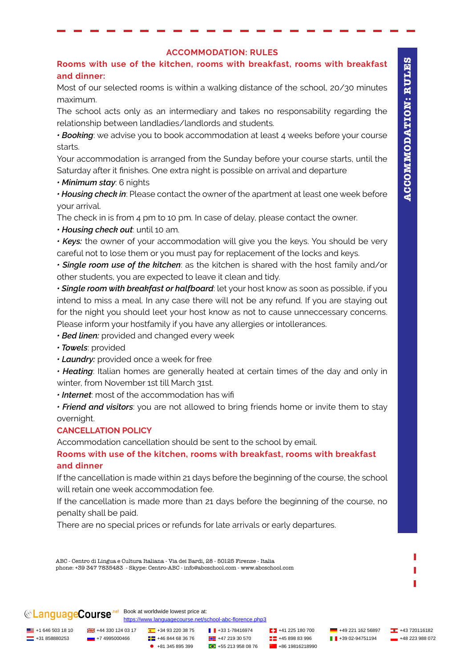#### **ACCOMMODATION: RULES**

**Rooms with use of the kitchen, rooms with breakfast, rooms with breakfast and dinner:** 

Most of our selected rooms is within a walking distance of the school, 20/30 minutes maximum.

The school acts only as an intermediary and takes no responsability regarding the relationship between landladies/landlords and students.

*• Booking*: we advise you to book accommodation at least 4 weeks before your course starts.

Your accommodation is arranged from the Sunday before your course starts, until the Saturday after it finishes. One extra night is possible on arrival and departure

*• Minimum stay*: 6 nights

*• Housing check in*: Please contact the owner of the apartment at least one week before your arrival.

The check in is from 4 pm to 10 pm. In case of delay, please contact the owner.

*• Housing check out*: until 10 am.

*• Keys:* the owner of your accommodation will give you the keys. You should be very careful not to lose them or you must pay for replacement of the locks and keys.

*• Single room use of the kitchen*: as the kitchen is shared with the host family and/or other students, you are expected to leave it clean and tidy.

*• Single room with breakfast or halfboard*: let your host know as soon as possible, if you intend to miss a meal. In any case there will not be any refund. If you are staying out for the night you should leet your host know as not to cause unneccessary concerns. Please inform your hostfamily if you have any allergies or intollerances.

*• Bed linen:* provided and changed every week

*• Towels*: provided

*• Laundry:* provided once a week for free

*• Heating*: Italian homes are generally heated at certain times of the day and only in winter, from November 1st till March 31st.

*• Internet*: most of the accommodation has wifi

*• Friend and visitors*: you are not allowed to bring friends home or invite them to stay overnight.

#### **CANCELLATION POLICY**

Accommodation cancellation should be sent to the school by email.

## **Rooms with use of the kitchen, rooms with breakfast, rooms with breakfast and dinner**

If the cancellation is made within 21 days before the beginning of the course, the school will retain one week accommodation fee.

If the cancellation is made more than 21 days before the beginning of the course, no penalty shall be paid.

There are no special prices or refunds for late arrivals or early departures.

ABC - Centro di Lingua e Cultura Italiana - Via dei Bardi, 28 - 50125 Firenze - Italia phone: +39 347 7835483 - Skype: Centro-ABC - info@abcschool.com - www.abcschool.com

**CAnguageCourse** Book at worldwide lowest price at:

<https://www.languagecourse.net/school-abc-florence.php3>

<u>ES</u> +1 646 503 18 10 <del>D</del> +43 330 124 03 17 **4** +34 93 220 38 75 **+45** +33 1-78416974 **+45 221 182 5180 700 +49 221 162 56897 <b>+43** 720116182  $\bullet$  +31 858880253 +7 4995000466  $\bullet$  +45 446 844 68 36 76  $\bullet$  +47 219 30 570  $\bullet$  = +45 898 83 996  $\bullet$  +39 02-94751194 +48 223 988 072

 $\bullet$  +81 345 895 399  $\bullet$  +55 213 958 08 76  $\bullet$  +86 19816218990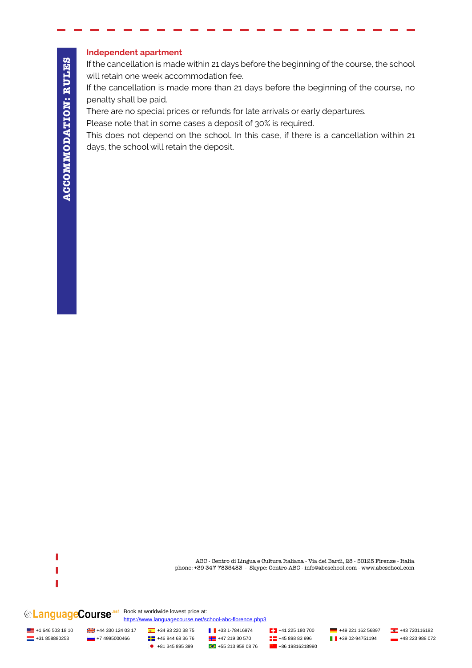#### **Independent apartment**

If the cancellation is made within 21 days before the beginning of the course, the school will retain one week accommodation fee.

If the cancellation is made more than 21 days before the beginning of the course, no penalty shall be paid.

There are no special prices or refunds for late arrivals or early departures.

Please note that in some cases a deposit of 30% is required.

This does not depend on the school. In this case, if there is a cancellation within 21 days, the school will retain the deposit.



ABC - Centro di Lingua e Cultura Italiana - Via dei Bardi, 28 - 50125 Firenze - Italia phone: +39 347 7835483 - Skype: Centro-ABC - info@abcschool.com - www.abcschool.com

**CAnguageCourse**<sup>net</sup> Book at worldwide lowest price at:

<https://www.languagecourse.net/school-abc-florence.php3>

<u><del></del></u> +31 858880253 +7 4995000466 + +46 844 68 36 76 + +47 219 30 570 + 45 898 83 996 + +39 02-94751194 +48 223 988 072

 $\bullet$  +81 345 895 399  $\bullet$  +55 213 958 08 76  $\bullet$  +86 19816218990

<u>■</u> +1 646 503 18 10 ● <sub>●</sub> +24 330 124 03 17 ● +34 93 220 38 75 **+453 1-78416974 +41 225 180 700 +49 221 162 56897 +43 720116182**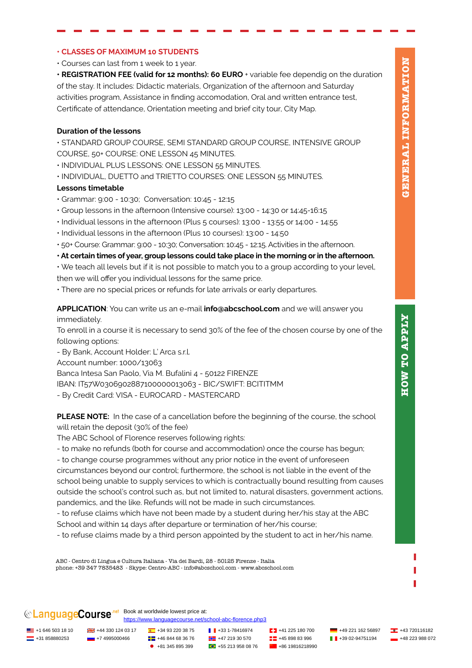#### **• CLASSES OF MAXIMUM 10 STUDENTS**

• Courses can last from 1 week to 1 year.

**• REGISTRATION FEE (valid for 12 months): 60 EURO** + variable fee dependig on the duration of the stay. It includes: Didactic materials, Organization of the afternoon and Saturday activities program, Assistance in finding accomodation, Oral and written entrance test, Certificate of attendance, Orientation meeting and brief city tour, City Map.

#### **Duration of the lessons**

• STANDARD GROUP COURSE, SEMI STANDARD GROUP COURSE, INTENSIVE GROUP COURSE, 50+ COURSE: ONE LESSON 45 MINUTES.

• INDIVIDUAL PLUS LESSONS: ONE LESSON 55 MINUTES.

• INDIVIDUAL, DUETTO and TRIETTO COURSES: ONE LESSON 55 MINUTES.

#### **Lessons timetable**

- Grammar: 9:00 10:30; Conversation: 10:45 12:15
- Group lessons in the afternoon (Intensive course): 13:00 14:30 or 14:45-16:15
- Individual lessons in the afternoon (Plus 5 courses): 13:00 13:55 or 14:00 14:55
- Individual lessons in the afternoon (Plus 10 courses): 13:00 14:50
- 50+ Course: Grammar: 9:00 10:30; Conversation: 10:45 12:15. Activities in the afternoon.

#### **• At certain times of year, group lessons could take place in the morning or in the afternoon.**

- We teach all levels but if it is not possible to match you to a group according to your level, then we will offer you individual lessons for the same price.
- There are no special prices or refunds for late arrivals or early departures.

**APPLICATION**: You can write us an e-mail **info@abcschool.com** and we will answer you immediately.

To enroll in a course it is necessary to send 30% of the fee of the chosen course by one of the following options:

- By Bank, Account Holder: L' Arca s.r.l.

Account number: 1000/13063

Banca Intesa San Paolo, Via M. Bufalini 4 - 50122 FIRENZE

IBAN: IT57W0306902887100000013063 - BIC/SWIFT: BCITITMM

- By Credit Card: VISA - EUROCARD - MASTERCARD

**PLEASE NOTE:** In the case of a cancellation before the beginning of the course, the school will retain the deposit (30% of the fee)

The ABC School of Florence reserves following rights:

- to make no refunds (both for course and accommodation) once the course has begun; - to change course programmes without any prior notice in the event of unforeseen circumstances beyond our control; furthermore, the school is not liable in the event of the school being unable to supply services to which is contractually bound resulting from causes

outside the school's control such as, but not limited to, natural disasters, government actions, pandemics, and the like. Refunds will not be made in such circumstances.

- to refuse claims which have not been made by a student during her/his stay at the ABC School and within 14 days after departure or termination of her/his course;

- to refuse claims made by a third person appointed by the student to act in her/his name.

ABC - Centro di Lingua e Cultura Italiana - Via dei Bardi, 28 - 50125 Firenze - Italia phone: +39 347 7835483 - Skype: Centro-ABC - info@abcschool.com - www.abcschool.com

# **CAnguageCourse**<sup>net</sup> Book at worldwide lowest price at:

<https://www.languagecourse.net/school-abc-florence.php3>

<u>ES</u> +1 646 503 18 10 <del>D</del> +43 330 124 03 17 **4** +34 93 220 38 75 **+45** +33 1-78416974 **+45 221 182 5180 700 +49 221 162 56897 <b>+43** 720116182  $\bullet$  +31 858880253 +7 4995000466  $\bullet$  +45 446 844 68 36 76  $\bullet$  +47 219 30 570  $\bullet$  = +45 898 83 996  $\bullet$  +39 02-94751194 +48 223 988 072

 $\bullet$  +81 345 895 399  $\bullet$  +55 213 958 08 76  $\bullet$  +86 19816218990

# *XIddy* OL MOH **HOW TO APPLY**